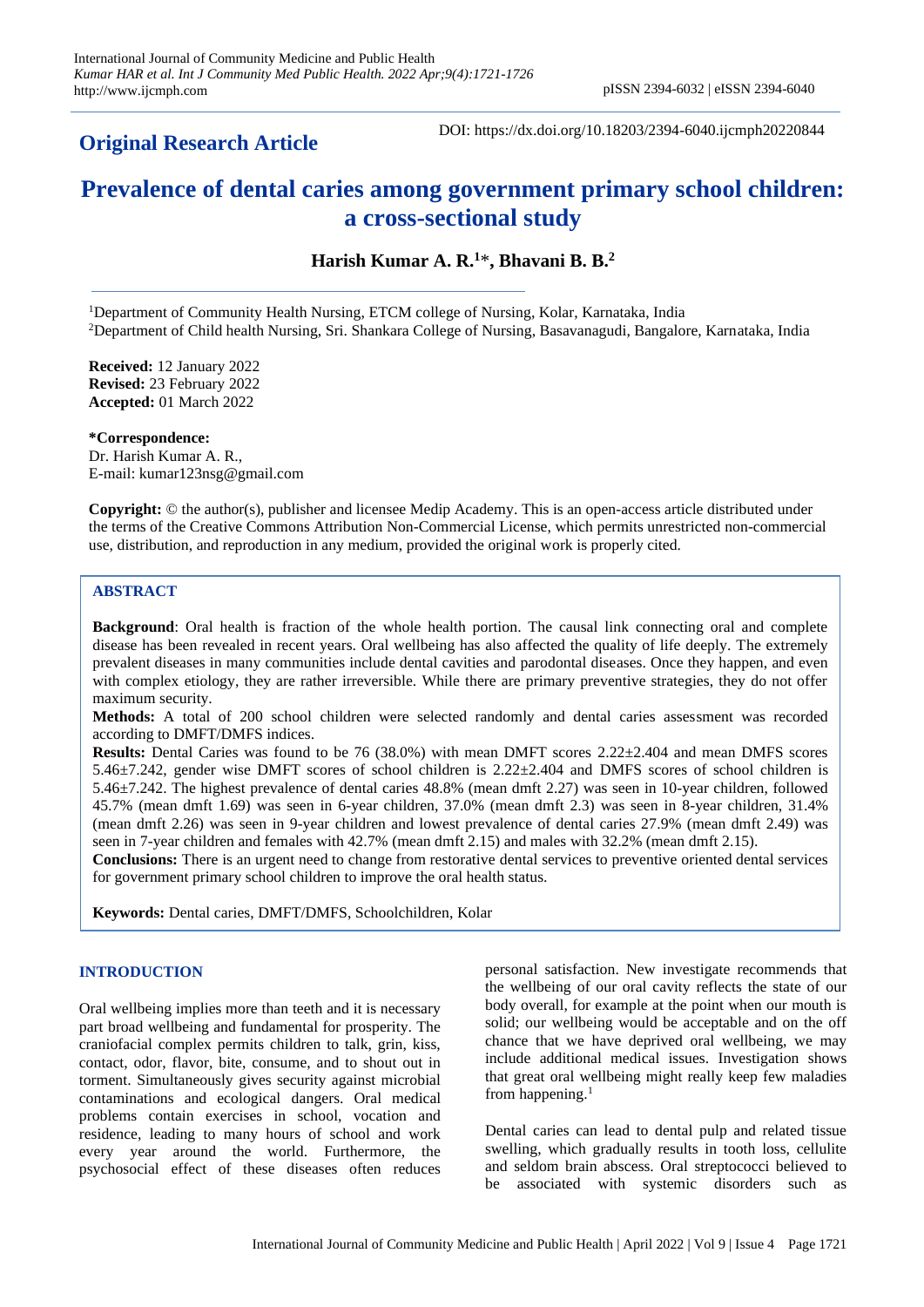## **Original Research Article**

DOI: https://dx.doi.org/10.18203/2394-6040.ijcmph20220844

# **Prevalence of dental caries among government primary school children: a cross-sectional study**

**Harish Kumar A. R.<sup>1</sup>**\***, Bhavani B. B.<sup>2</sup>**

<sup>1</sup>Department of Community Health Nursing, ETCM college of Nursing, Kolar, Karnataka, India <sup>2</sup>Department of Child health Nursing, Sri. Shankara College of Nursing, Basavanagudi, Bangalore, Karnataka, India

**Received:** 12 January 2022 **Revised:** 23 February 2022 **Accepted:** 01 March 2022

**\*Correspondence:** Dr. Harish Kumar A. R., E-mail[: kumar123nsg@gmail.com](mailto:kumar123nsg@gmail.com)

**Copyright:** © the author(s), publisher and licensee Medip Academy. This is an open-access article distributed under the terms of the Creative Commons Attribution Non-Commercial License, which permits unrestricted non-commercial use, distribution, and reproduction in any medium, provided the original work is properly cited.

## **ABSTRACT**

**Background**: Oral health is fraction of the whole health portion. The causal link connecting oral and complete disease has been revealed in recent years. Oral wellbeing has also affected the quality of life deeply. The extremely prevalent diseases in many communities include dental cavities and parodontal diseases. Once they happen, and even with complex etiology, they are rather irreversible. While there are primary preventive strategies, they do not offer maximum security.

**Methods:** A total of 200 school children were selected randomly and dental caries assessment was recorded according to DMFT/DMFS indices.

**Results:** Dental Caries was found to be 76 (38.0%) with mean DMFT scores 2.22±2.404 and mean DMFS scores 5.46±7.242, gender wise DMFT scores of school children is 2.22±2.404 and DMFS scores of school children is 5.46±7.242. The highest prevalence of dental caries 48.8% (mean dmft 2.27) was seen in 10-year children, followed 45.7% (mean dmft 1.69) was seen in 6-year children, 37.0% (mean dmft 2.3) was seen in 8-year children, 31.4% (mean dmft 2.26) was seen in 9-year children and lowest prevalence of dental caries 27.9% (mean dmft 2.49) was seen in 7-year children and females with 42.7% (mean dmft 2.15) and males with 32.2% (mean dmft 2.15).

**Conclusions:** There is an urgent need to change from restorative dental services to preventive oriented dental services for government primary school children to improve the oral health status.

**Keywords:** Dental caries, DMFT/DMFS, Schoolchildren, Kolar

#### **INTRODUCTION**

Oral wellbeing implies more than teeth and it is necessary part broad wellbeing and fundamental for prosperity. The craniofacial complex permits children to talk, grin, kiss, contact, odor, flavor, bite, consume, and to shout out in torment. Simultaneously gives security against microbial contaminations and ecological dangers. Oral medical problems contain exercises in school, vocation and residence, leading to many hours of school and work every year around the world. Furthermore, the psychosocial effect of these diseases often reduces

personal satisfaction. New investigate recommends that the wellbeing of our oral cavity reflects the state of our body overall, for example at the point when our mouth is solid; our wellbeing would be acceptable and on the off chance that we have deprived oral wellbeing, we may include additional medical issues. Investigation shows that great oral wellbeing might really keep few maladies from happening.<sup>1</sup>

Dental caries can lead to dental pulp and related tissue swelling, which gradually results in tooth loss, cellulite and seldom brain abscess. Oral streptococci believed to be associated with systemic disorders such as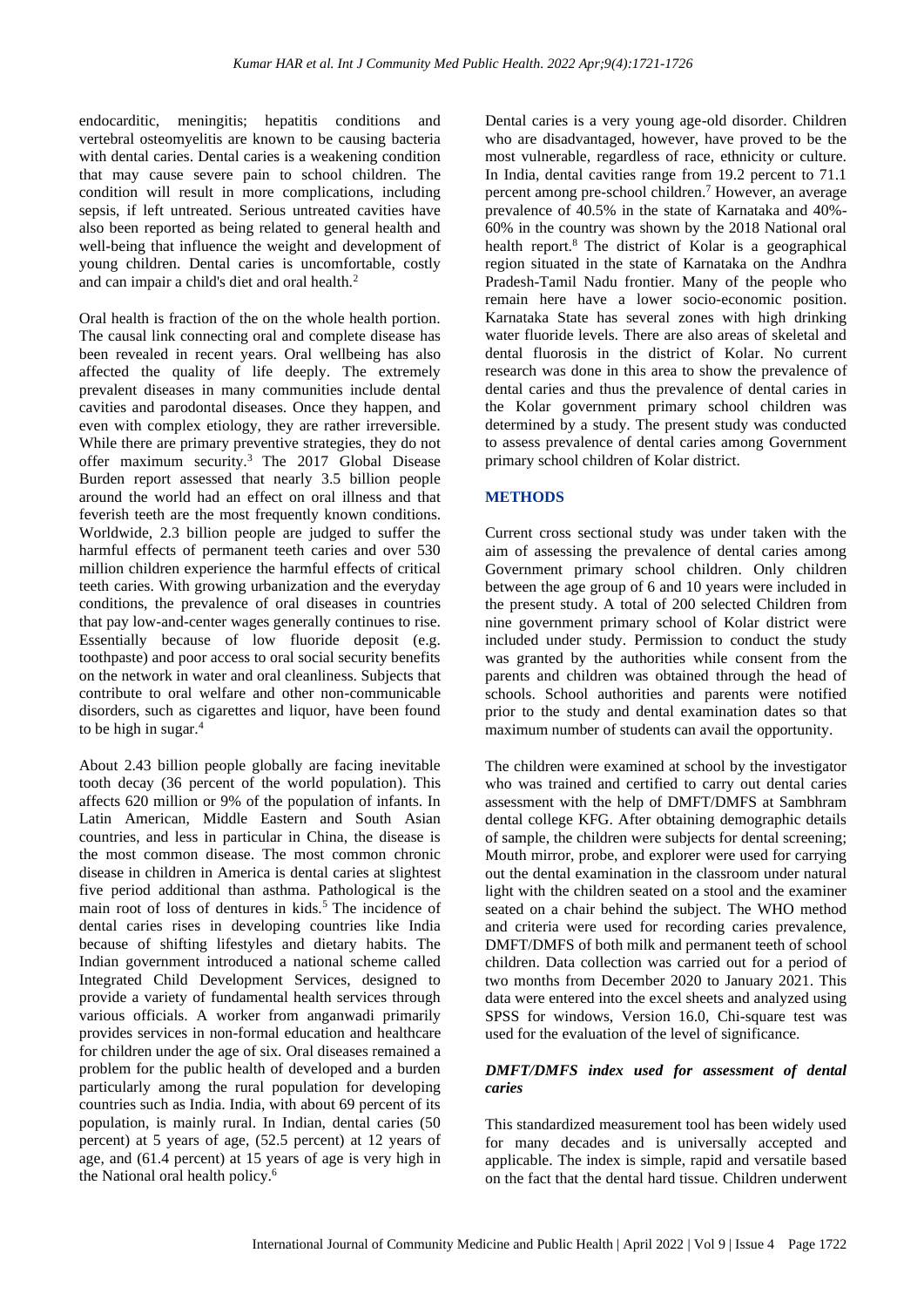endocarditic, meningitis; hepatitis conditions and vertebral osteomyelitis are known to be causing bacteria with dental caries. Dental caries is a weakening condition that may cause severe pain to school children. The condition will result in more complications, including sepsis, if left untreated. Serious untreated cavities have also been reported as being related to general health and well-being that influence the weight and development of young children. Dental caries is uncomfortable, costly and can impair a child's diet and oral health.<sup>2</sup>

Oral health is fraction of the on the whole health portion. The causal link connecting oral and complete disease has been revealed in recent years. Oral wellbeing has also affected the quality of life deeply. The extremely prevalent diseases in many communities include dental cavities and parodontal diseases. Once they happen, and even with complex etiology, they are rather irreversible. While there are primary preventive strategies, they do not offer maximum security.<sup>3</sup> The 2017 Global Disease Burden report assessed that nearly 3.5 billion people around the world had an effect on oral illness and that feverish teeth are the most frequently known conditions. Worldwide, 2.3 billion people are judged to suffer the harmful effects of permanent teeth caries and over 530 million children experience the harmful effects of critical teeth caries. With growing urbanization and the everyday conditions, the prevalence of oral diseases in countries that pay low-and-center wages generally continues to rise. Essentially because of low fluoride deposit (e.g. toothpaste) and poor access to oral social security benefits on the network in water and oral cleanliness. Subjects that contribute to oral welfare and other non-communicable disorders, such as cigarettes and liquor, have been found to be high in sugar.<sup>4</sup>

About 2.43 billion people globally are facing inevitable tooth decay (36 percent of the world population). This affects 620 million or 9% of the population of infants. In Latin American, Middle Eastern and South Asian countries, and less in particular in China, the disease is the most common disease. The most common chronic disease in children in America is dental caries at slightest five period additional than asthma. Pathological is the main root of loss of dentures in kids.<sup>5</sup> The incidence of dental caries rises in developing countries like India because of shifting lifestyles and dietary habits. The Indian government introduced a national scheme called Integrated Child Development Services, designed to provide a variety of fundamental health services through various officials. A worker from anganwadi primarily provides services in non-formal education and healthcare for children under the age of six. Oral diseases remained a problem for the public health of developed and a burden particularly among the rural population for developing countries such as India. India, with about 69 percent of its population, is mainly rural. In Indian, dental caries (50 percent) at 5 years of age, (52.5 percent) at 12 years of age, and (61.4 percent) at 15 years of age is very high in the National oral health policy. 6

Dental caries is a very young age-old disorder. Children who are disadvantaged, however, have proved to be the most vulnerable, regardless of race, ethnicity or culture. In India, dental cavities range from 19.2 percent to 71.1 percent among pre-school children.<sup>7</sup> However, an average prevalence of 40.5% in the state of Karnataka and 40%- 60% in the country was shown by the 2018 National oral health report.<sup>8</sup> The district of Kolar is a geographical region situated in the state of Karnataka on the Andhra Pradesh-Tamil Nadu frontier. Many of the people who remain here have a lower socio-economic position. Karnataka State has several zones with high drinking water fluoride levels. There are also areas of skeletal and dental fluorosis in the district of Kolar. No current research was done in this area to show the prevalence of dental caries and thus the prevalence of dental caries in the Kolar government primary school children was determined by a study. The present study was conducted to assess prevalence of dental caries among Government primary school children of Kolar district.

#### **METHODS**

Current cross sectional study was under taken with the aim of assessing the prevalence of dental caries among Government primary school children. Only children between the age group of 6 and 10 years were included in the present study. A total of 200 selected Children from nine government primary school of Kolar district were included under study. Permission to conduct the study was granted by the authorities while consent from the parents and children was obtained through the head of schools. School authorities and parents were notified prior to the study and dental examination dates so that maximum number of students can avail the opportunity.

The children were examined at school by the investigator who was trained and certified to carry out dental caries assessment with the help of DMFT/DMFS at Sambhram dental college KFG. After obtaining demographic details of sample, the children were subjects for dental screening; Mouth mirror, probe, and explorer were used for carrying out the dental examination in the classroom under natural light with the children seated on a stool and the examiner seated on a chair behind the subject. The WHO method and criteria were used for recording caries prevalence, DMFT/DMFS of both milk and permanent teeth of school children. Data collection was carried out for a period of two months from December 2020 to January 2021. This data were entered into the excel sheets and analyzed using SPSS for windows, Version 16.0, Chi-square test was used for the evaluation of the level of significance.

#### *DMFT/DMFS index used for assessment of dental caries*

This standardized measurement tool has been widely used for many decades and is universally accepted and applicable. The index is simple, rapid and versatile based on the fact that the dental hard tissue. Children underwent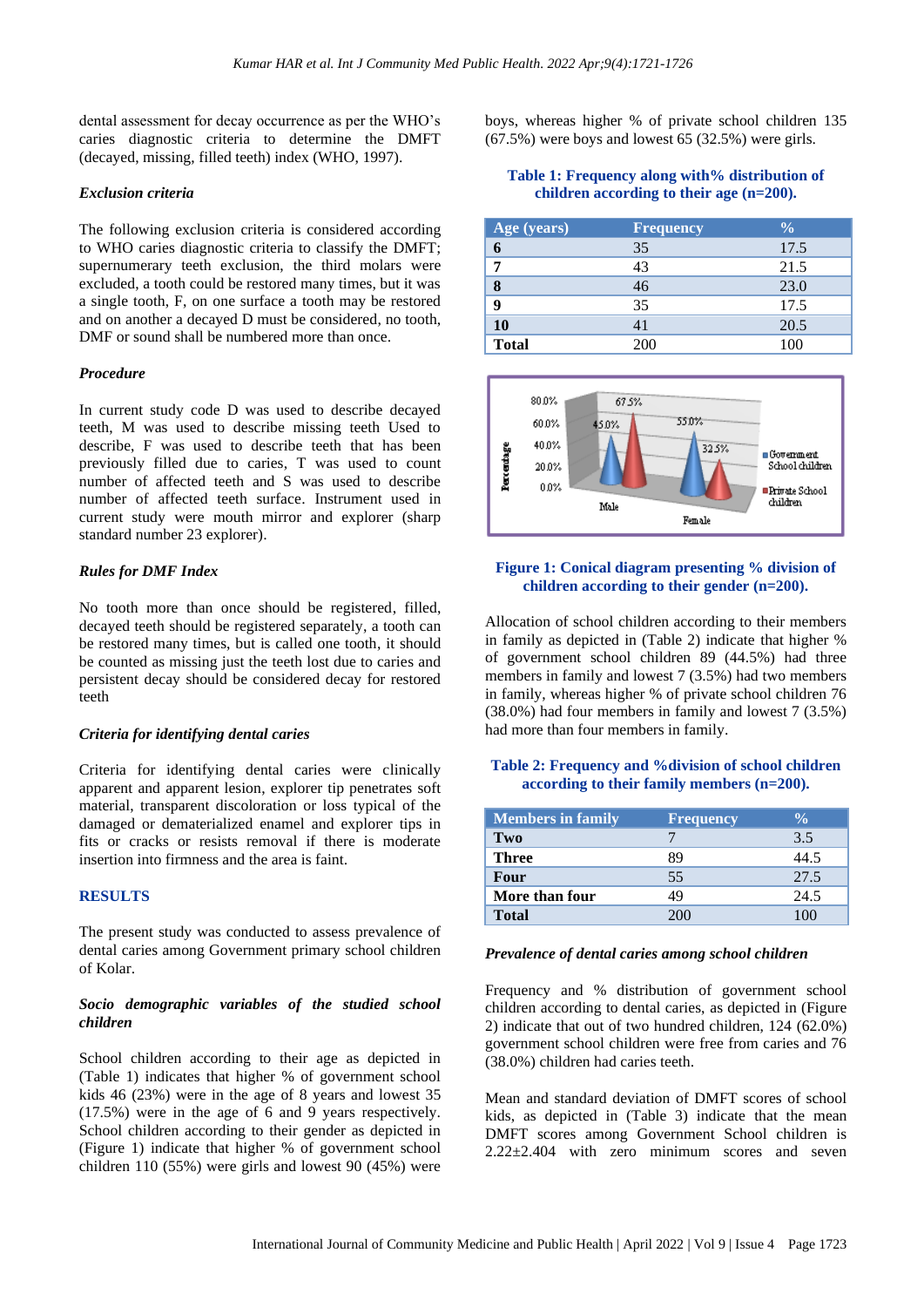dental assessment for decay occurrence as per the WHO's caries diagnostic criteria to determine the DMFT (decayed, missing, filled teeth) index (WHO, 1997).

#### *Exclusion criteria*

The following exclusion criteria is considered according to WHO caries diagnostic criteria to classify the DMFT; supernumerary teeth exclusion, the third molars were excluded, a tooth could be restored many times, but it was a single tooth, F, on one surface a tooth may be restored and on another a decayed D must be considered, no tooth, DMF or sound shall be numbered more than once.

#### *Procedure*

In current study code D was used to describe decayed teeth, M was used to describe missing teeth Used to describe, F was used to describe teeth that has been previously filled due to caries, T was used to count number of affected teeth and S was used to describe number of affected teeth surface. Instrument used in current study were mouth mirror and explorer (sharp standard number 23 explorer).

#### *Rules for DMF Index*

No tooth more than once should be registered, filled, decayed teeth should be registered separately, a tooth can be restored many times, but is called one tooth, it should be counted as missing just the teeth lost due to caries and persistent decay should be considered decay for restored teeth

#### *Criteria for identifying dental caries*

Criteria for identifying dental caries were clinically apparent and apparent lesion, explorer tip penetrates soft material, transparent discoloration or loss typical of the damaged or dematerialized enamel and explorer tips in fits or cracks or resists removal if there is moderate insertion into firmness and the area is faint.

#### **RESULTS**

The present study was conducted to assess prevalence of dental caries among Government primary school children of Kolar.

#### *Socio demographic variables of the studied school children*

School children according to their age as depicted in (Table 1) indicates that higher % of government school kids 46 (23%) were in the age of 8 years and lowest 35 (17.5%) were in the age of 6 and 9 years respectively. School children according to their gender as depicted in (Figure 1) indicate that higher % of government school children 110 (55%) were girls and lowest 90 (45%) were boys, whereas higher % of private school children 135  $(67.5\%)$  were boys and lowest 65  $(32.5\%)$  were girls.

## **Table 1: Frequency along with% distribution of children according to their age (n=200).**

| Age (years)  | <b>Frequency</b> | $\frac{6}{6}$ |
|--------------|------------------|---------------|
| 6            | 35               | 17.5          |
| 7            | 43               | 21.5          |
| 8            | 46               | 23.0          |
| 9            | 35               | 17.5          |
| 10           | 41               | 20.5          |
| <b>Total</b> | 200              | 100           |



## **Figure 1: Conical diagram presenting % division of children according to their gender (n=200).**

Allocation of school children according to their members in family as depicted in (Table 2) indicate that higher % of government school children 89 (44.5%) had three members in family and lowest 7 (3.5%) had two members in family, whereas higher % of private school children 76 (38.0%) had four members in family and lowest 7 (3.5%) had more than four members in family.

## **Table 2: Frequency and %division of school children according to their family members (n=200).**

| <b>Members in family</b> | <b>Frequency</b> | $\frac{0}{\alpha}$ |
|--------------------------|------------------|--------------------|
| Two                      |                  | 3.5                |
| <b>Three</b>             | 89               | 44.5               |
| Four                     | 55               | 27.5               |
| More than four           | 49               | 24.5               |
| <b>Total</b>             | 200              | 100                |

## *Prevalence of dental caries among school children*

Frequency and % distribution of government school children according to dental caries, as depicted in (Figure 2) indicate that out of two hundred children, 124 (62.0%) government school children were free from caries and 76 (38.0%) children had caries teeth.

Mean and standard deviation of DMFT scores of school kids, as depicted in (Table 3) indicate that the mean DMFT scores among Government School children is 2.22±2.404 with zero minimum scores and seven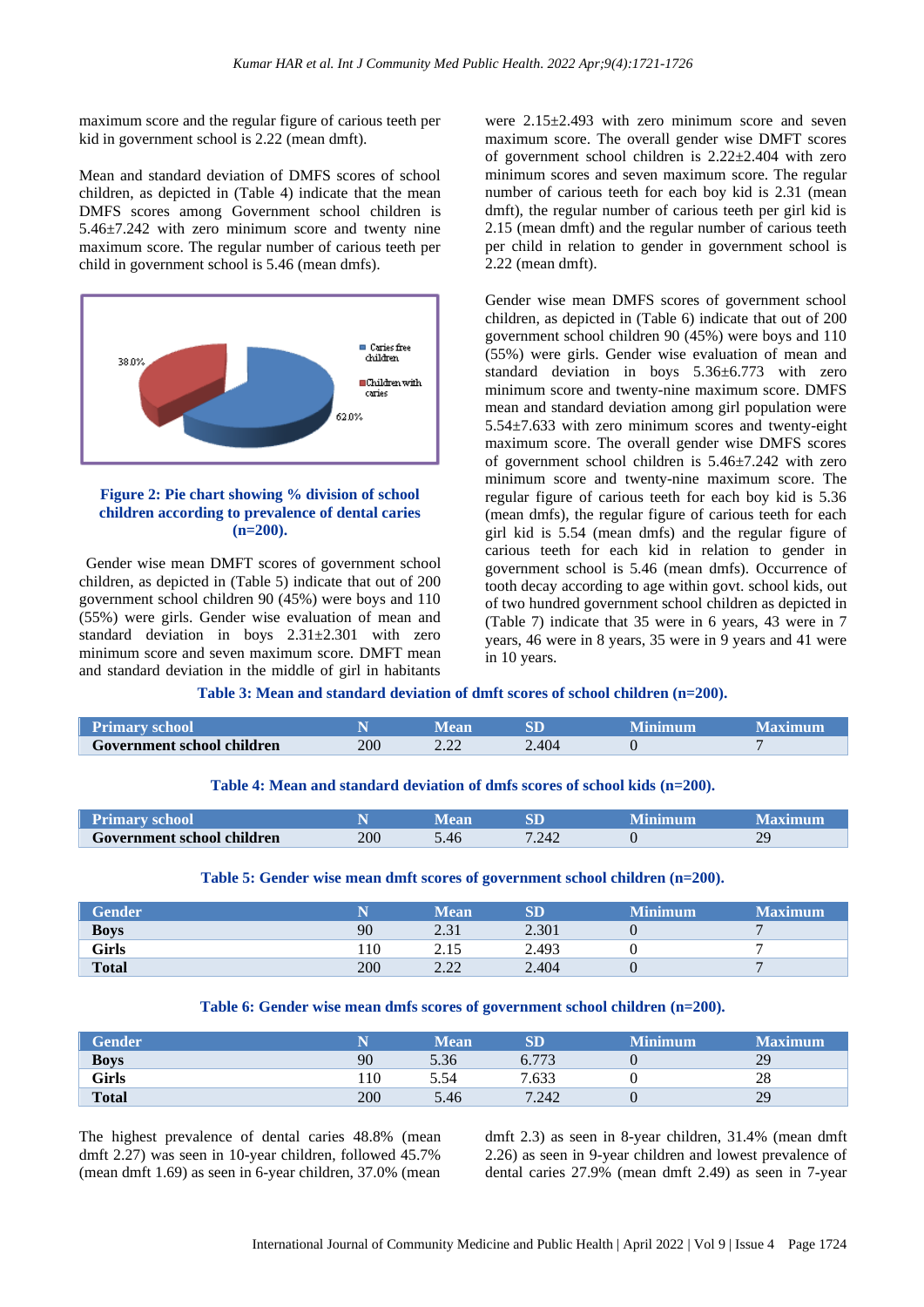maximum score and the regular figure of carious teeth per kid in government school is 2.22 (mean dmft).

Mean and standard deviation of DMFS scores of school children, as depicted in (Table 4) indicate that the mean DMFS scores among Government school children is 5.46±7.242 with zero minimum score and twenty nine maximum score. The regular number of carious teeth per child in government school is 5.46 (mean dmfs).



#### **Figure 2: Pie chart showing % division of school children according to prevalence of dental caries (n=200).**

Gender wise mean DMFT scores of government school children, as depicted in (Table 5) indicate that out of 200 government school children 90 (45%) were boys and 110 (55%) were girls. Gender wise evaluation of mean and standard deviation in boys 2.31±2.301 with zero minimum score and seven maximum score. DMFT mean and standard deviation in the middle of girl in habitants

were 2.15±2.493 with zero minimum score and seven maximum score. The overall gender wise DMFT scores of government school children is  $2.22 \pm 2.404$  with zero minimum scores and seven maximum score. The regular number of carious teeth for each boy kid is 2.31 (mean dmft), the regular number of carious teeth per girl kid is 2.15 (mean dmft) and the regular number of carious teeth per child in relation to gender in government school is 2.22 (mean dmft).

Gender wise mean DMFS scores of government school children, as depicted in (Table 6) indicate that out of 200 government school children 90 (45%) were boys and 110 (55%) were girls. Gender wise evaluation of mean and standard deviation in boys 5.36±6.773 with zero minimum score and twenty-nine maximum score. DMFS mean and standard deviation among girl population were 5.54±7.633 with zero minimum scores and twenty-eight maximum score. The overall gender wise DMFS scores of government school children is 5.46±7.242 with zero minimum score and twenty-nine maximum score. The regular figure of carious teeth for each boy kid is 5.36 (mean dmfs), the regular figure of carious teeth for each girl kid is 5.54 (mean dmfs) and the regular figure of carious teeth for each kid in relation to gender in government school is 5.46 (mean dmfs). Occurrence of tooth decay according to age within govt. school kids, out of two hundred government school children as depicted in (Table 7) indicate that 35 were in 6 years, 43 were in 7 years, 46 were in 8 years, 35 were in 9 years and 41 were in 10 years.

**Table 3: Mean and standard deviation of dmft scores of school children (n=200).**

| <b>Primary school</b>      |     |                |        | Minimum | Maximum |
|----------------------------|-----|----------------|--------|---------|---------|
| Government school children | 200 | $\cap$<br>4.44 | $-404$ |         |         |

**Table 4: Mean and standard deviation of dmfs scores of school kids (n=200).**

| Primary school             |     |      |       | Minimum | Maximum              |
|----------------------------|-----|------|-------|---------|----------------------|
| Government school children | 200 | 5.46 | 7.242 |         | ΩC<br>$\overline{L}$ |

#### **Table 5: Gender wise mean dmft scores of government school children (n=200).**

| <b>Gender</b> |     | Mean       | $\mathbf{SD}$ | <b>Minimum</b> | <b>Maximum</b> |
|---------------|-----|------------|---------------|----------------|----------------|
| <b>Boys</b>   | 90  | 21<br>2.01 | 2.301         |                |                |
| Girls         | 110 | 2.15       | 2.493         |                |                |
| <b>Total</b>  | 200 | 22<br>4.44 | 2.404         |                |                |

**Table 6: Gender wise mean dmfs scores of government school children (n=200).**

| <b>Gender</b> |     | Mean | $\mathrm{SD}$ | <b>Minimum</b> | <b>Maximum</b> |
|---------------|-----|------|---------------|----------------|----------------|
| <b>Boys</b>   | 90  | 5.36 | 6.773         |                | 29             |
| <b>Girls</b>  | .10 | 5.54 | 7.633         |                | 28             |
| <b>Total</b>  | 200 | 5.46 | 7.242         |                | 29             |

The highest prevalence of dental caries 48.8% (mean dmft 2.27) was seen in 10-year children, followed 45.7% (mean dmft 1.69) as seen in 6-year children, 37.0% (mean dmft 2.3) as seen in 8-year children, 31.4% (mean dmft 2.26) as seen in 9-year children and lowest prevalence of dental caries 27.9% (mean dmft 2.49) as seen in 7-year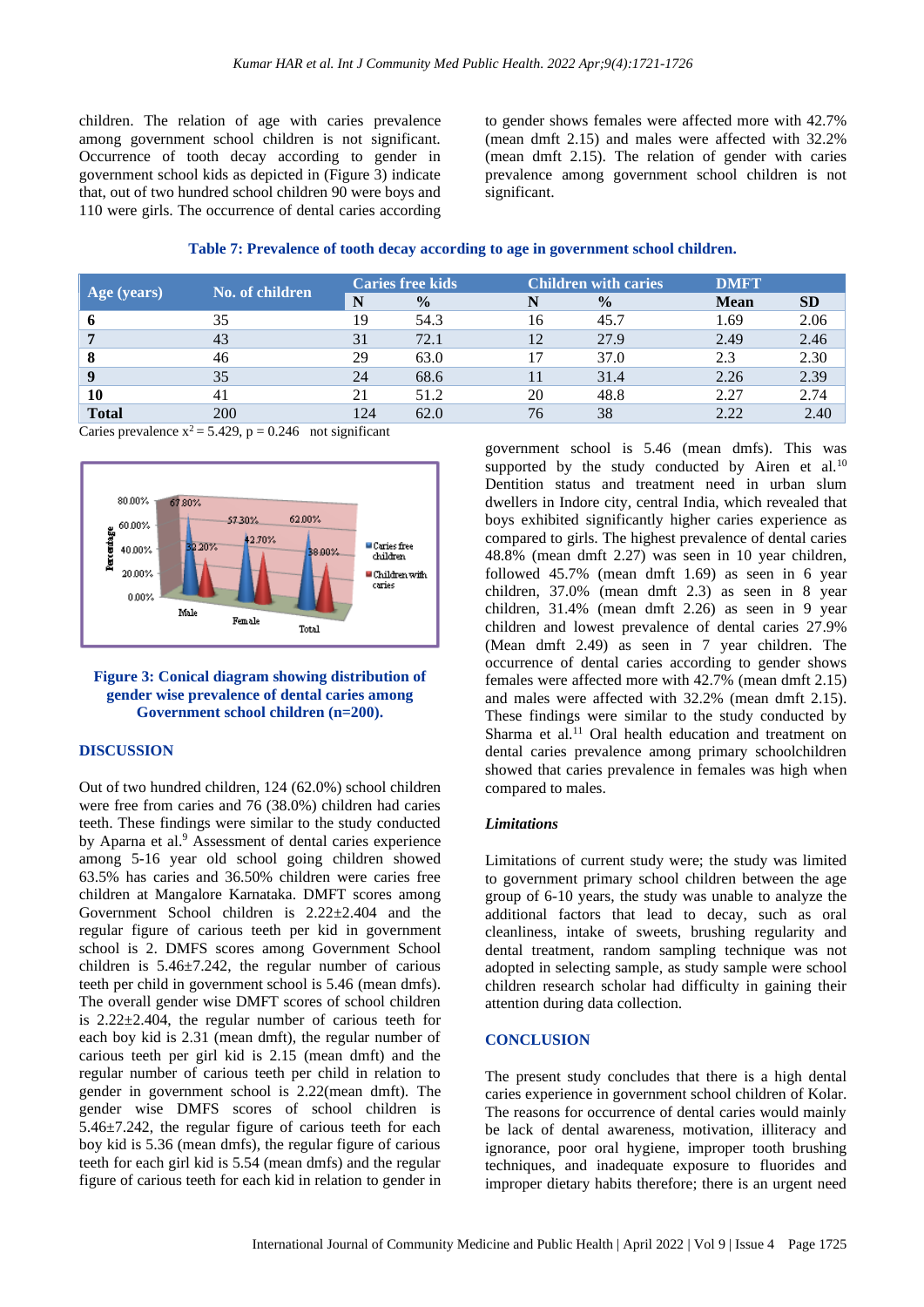children. The relation of age with caries prevalence among government school children is not significant. Occurrence of tooth decay according to gender in government school kids as depicted in (Figure 3) indicate that, out of two hundred school children 90 were boys and 110 were girls. The occurrence of dental caries according

to gender shows females were affected more with 42.7% (mean dmft 2.15) and males were affected with 32.2% (mean dmft 2.15). The relation of gender with caries prevalence among government school children is not significant.

| Table 7: Prevalence of tooth decay according to age in government school children. |  |  |  |
|------------------------------------------------------------------------------------|--|--|--|
|------------------------------------------------------------------------------------|--|--|--|

| $ Age$ (years)   | No. of children | <b>Caries free kids</b> |               | <b>Children with caries</b> |               | <b>DMFT</b> |           |
|------------------|-----------------|-------------------------|---------------|-----------------------------|---------------|-------------|-----------|
|                  |                 | N                       | $\frac{0}{0}$ |                             | $\frac{0}{0}$ | <b>Mean</b> | <b>SD</b> |
| ō                | 35              | 19                      | 54.3          | 16                          | 45.7          | 1.69        | 2.06      |
|                  | 43              | 31                      | 72.1          | 12                          | 27.9          | 2.49        | 2.46      |
| -8               | 46              | 29                      | 63.0          |                             | 37.0          | 2.3         | 2.30      |
| $\boldsymbol{q}$ | 35              | 24                      | 68.6          |                             | 31.4          | 2.26        | 2.39      |
| 10               | 41              | 21                      | 51.2          | 20                          | 48.8          | 2.27        | 2.74      |
| <b>Total</b>     | 200             | 124                     | 62.0          | 76                          | 38            | 2.22        | 2.40      |

Caries prevalence  $x^2 = 5.429$ ,  $p = 0.246$  not significant



#### **Figure 3: Conical diagram showing distribution of gender wise prevalence of dental caries among Government school children (n=200).**

## **DISCUSSION**

Out of two hundred children, 124 (62.0%) school children were free from caries and 76 (38.0%) children had caries teeth. These findings were similar to the study conducted by Aparna et al. <sup>9</sup> Assessment of dental caries experience among 5-16 year old school going children showed 63.5% has caries and 36.50% children were caries free children at Mangalore Karnataka. DMFT scores among Government School children is 2.22±2.404 and the regular figure of carious teeth per kid in government school is 2. DMFS scores among Government School children is  $5.46 \pm 7.242$ , the regular number of carious teeth per child in government school is 5.46 (mean dmfs). The overall gender wise DMFT scores of school children is 2.22±2.404, the regular number of carious teeth for each boy kid is 2.31 (mean dmft), the regular number of carious teeth per girl kid is 2.15 (mean dmft) and the regular number of carious teeth per child in relation to gender in government school is 2.22(mean dmft). The gender wise DMFS scores of school children is 5.46±7.242, the regular figure of carious teeth for each boy kid is 5.36 (mean dmfs), the regular figure of carious teeth for each girl kid is 5.54 (mean dmfs) and the regular figure of carious teeth for each kid in relation to gender in

government school is 5.46 (mean dmfs). This was supported by the study conducted by Airen et al. $10$ Dentition status and treatment need in urban slum dwellers in Indore city, central India, which revealed that boys exhibited significantly higher caries experience as compared to girls. The highest prevalence of dental caries 48.8% (mean dmft 2.27) was seen in 10 year children, followed 45.7% (mean dmft 1.69) as seen in 6 year children, 37.0% (mean dmft 2.3) as seen in 8 year children, 31.4% (mean dmft 2.26) as seen in 9 year children and lowest prevalence of dental caries 27.9% (Mean dmft 2.49) as seen in 7 year children. The occurrence of dental caries according to gender shows females were affected more with 42.7% (mean dmft 2.15) and males were affected with 32.2% (mean dmft 2.15). These findings were similar to the study conducted by Sharma et al.<sup>11</sup> Oral health education and treatment on dental caries prevalence among primary schoolchildren showed that caries prevalence in females was high when compared to males.

#### *Limitations*

Limitations of current study were; the study was limited to government primary school children between the age group of 6-10 years, the study was unable to analyze the additional factors that lead to decay, such as oral cleanliness, intake of sweets, brushing regularity and dental treatment, random sampling technique was not adopted in selecting sample, as study sample were school children research scholar had difficulty in gaining their attention during data collection.

#### **CONCLUSION**

The present study concludes that there is a high dental caries experience in government school children of Kolar. The reasons for occurrence of dental caries would mainly be lack of dental awareness, motivation, illiteracy and ignorance, poor oral hygiene, improper tooth brushing techniques, and inadequate exposure to fluorides and improper dietary habits therefore; there is an urgent need